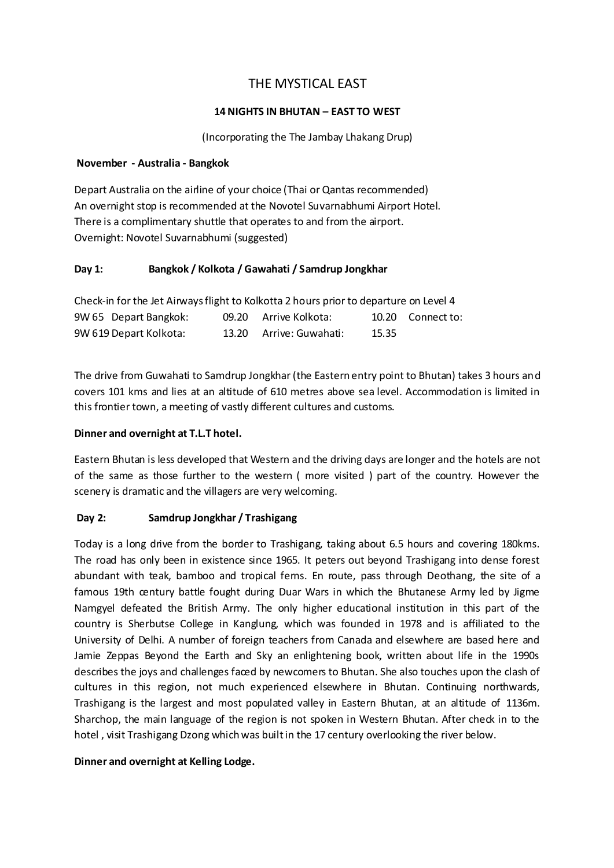# THE MYSTICAL EAST

### **14 NIGHTS IN BHUTAN – EAST TO WEST**

(Incorporating the The Jambay Lhakang Drup)

#### **November - Australia - Bangkok**

Depart Australia on the airline of your choice (Thai or Qantas recommended) An overnight stop is recommended at the Novotel Suvarnabhumi Airport Hotel. There is a complimentary shuttle that operates to and from the airport. Overnight: Novotel Suvarnabhumi (suggested)

### **Day 1: Bangkok / Kolkota / Gawahati / Samdrup Jongkhar**

| Check-in for the Jet Airways flight to Kolkotta 2 hours prior to departure on Level 4 |  |                         |       |                   |  |
|---------------------------------------------------------------------------------------|--|-------------------------|-------|-------------------|--|
| 9W 65 Depart Bangkok:                                                                 |  | 09.20 Arrive Kolkota:   |       | 10.20 Connect to: |  |
| 9W 619 Depart Kolkota:                                                                |  | 13.20 Arrive: Guwahati: | 15.35 |                   |  |

The drive from Guwahati to Samdrup Jongkhar (the Eastern entry point to Bhutan) takes 3 hours and covers 101 kms and lies at an altitude of 610 metres above sea level. Accommodation is limited in this frontier town, a meeting of vastly different cultures and customs.

### **Dinner and overnight at T.L.T hotel.**

Eastern Bhutan is less developed that Western and the driving days are longer and the hotels are not of the same as those further to the western ( more visited ) part of the country. However the scenery is dramatic and the villagers are very welcoming.

### **Day 2: Samdrup Jongkhar / Trashigang**

Today is a long drive from the border to Trashigang, taking about 6.5 hours and covering 180kms. The road has only been in existence since 1965. It peters out beyond Trashigang into dense forest abundant with teak, bamboo and tropical ferns. En route, pass through Deothang, the site of a famous 19th century battle fought during Duar Wars in which the Bhutanese Army led by Jigme Namgyel defeated the British Army. The only higher educational institution in this part of the country is Sherbutse College in Kanglung, which was founded in 1978 and is affiliated to the University of Delhi. A number of foreign teachers from Canada and elsewhere are based here and Jamie Zeppas Beyond the Earth and Sky an enlightening book, written about life in the 1990s describes the joys and challenges faced by newcomers to Bhutan. She also touches upon the clash of cultures in this region, not much experienced elsewhere in Bhutan. Continuing northwards, Trashigang is the largest and most populated valley in Eastern Bhutan, at an altitude of 1136m. Sharchop, the main language of the region is not spoken in Western Bhutan. After check in to the hotel , visit Trashigang Dzong which was built in the 17 century overlooking the river below.

### **Dinner and overnight at Kelling Lodge.**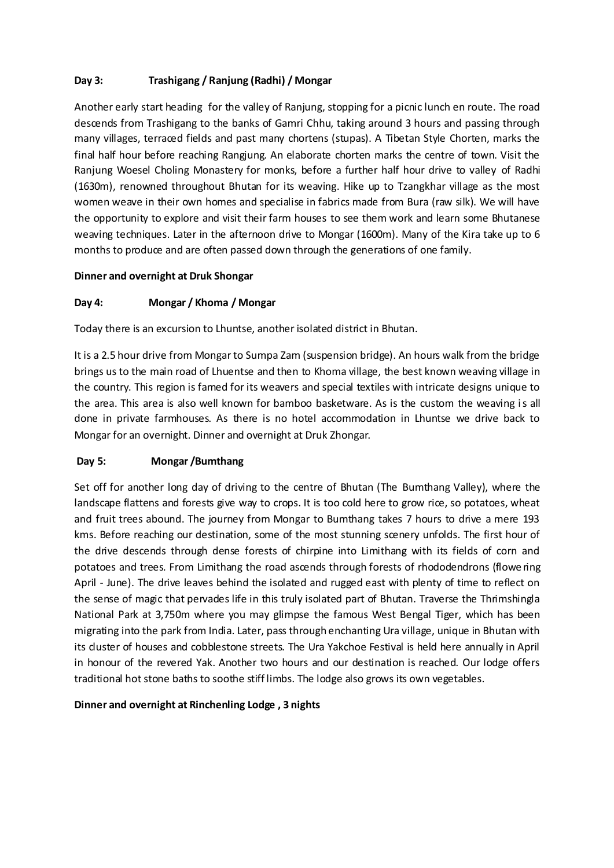# **Day 3: Trashigang / Ranjung (Radhi) / Mongar**

Another early start heading for the valley of Ranjung, stopping for a picnic lunch en route. The road descends from Trashigang to the banks of Gamri Chhu, taking around 3 hours and passing through many villages, terraced fields and past many chortens (stupas). A Tibetan Style Chorten, marks the final half hour before reaching Rangjung. An elaborate chorten marks the centre of town. Visit the Ranjung Woesel Choling Monastery for monks, before a further half hour drive to valley of Radhi (1630m), renowned throughout Bhutan for its weaving. Hike up to Tzangkhar village as the most women weave in their own homes and specialise in fabrics made from Bura (raw silk). We will have the opportunity to explore and visit their farm houses to see them work and learn some Bhutanese weaving techniques. Later in the afternoon drive to Mongar (1600m). Many of the Kira take up to 6 months to produce and are often passed down through the generations of one family.

### **Dinner and overnight at Druk Shongar**

### **Day 4: Mongar / Khoma / Mongar**

Today there is an excursion to Lhuntse, another isolated district in Bhutan.

It is a 2.5 hour drive from Mongar to Sumpa Zam (suspension bridge). An hours walk from the bridge brings us to the main road of Lhuentse and then to Khoma village, the best known weaving village in the country. This region is famed for its weavers and special textiles with intricate designs unique to the area. This area is also well known for bamboo basketware. As is the custom the weaving is all done in private farmhouses. As there is no hotel accommodation in Lhuntse we drive back to Mongar for an overnight. Dinner and overnight at Druk Zhongar.

### **Day 5: Mongar /Bumthang**

Set off for another long day of driving to the centre of Bhutan (The Bumthang Valley), where the landscape flattens and forests give way to crops. It is too cold here to grow rice, so potatoes, wheat and fruit trees abound. The journey from Mongar to Bumthang takes 7 hours to drive a mere 193 kms. Before reaching our destination, some of the most stunning scenery unfolds. The first hour of the drive descends through dense forests of chirpine into Limithang with its fields of corn and potatoes and trees. From Limithang the road ascends through forests of rhododendrons (flowe ring April - June). The drive leaves behind the isolated and rugged east with plenty of time to reflect on the sense of magic that pervades life in this truly isolated part of Bhutan. Traverse the Thrimshingla National Park at 3,750m where you may glimpse the famous West Bengal Tiger, which has been migrating into the park from India. Later, pass through enchanting Ura village, unique in Bhutan with its duster of houses and cobblestone streets. The Ura Yakchoe Festival is held here annually in April in honour of the revered Yak. Another two hours and our destination is reached. Our lodge offers traditional hot stone baths to soothe stiff limbs. The lodge also grows its own vegetables.

### **Dinner and overnight at Rinchenling Lodge , 3 nights**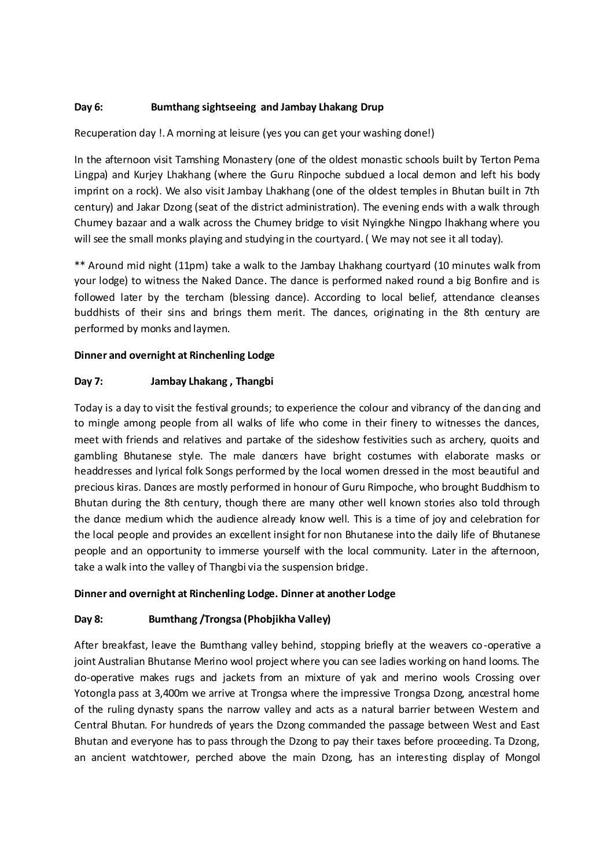### **Day 6: Bumthang sightseeing and Jambay Lhakang Drup**

Recuperation day !. A morning at leisure (yes you can get your washing done!)

In the afternoon visit Tamshing Monastery (one of the oldest monastic schools built by Terton Pema Lingpa) and Kurjey Lhakhang (where the Guru Rinpoche subdued a local demon and left his body imprint on a rock). We also visit Jambay Lhakhang (one of the oldest temples in Bhutan built in 7th century) and Jakar Dzong (seat of the district administration). The evening ends with a walk through Chumey bazaar and a walk across the Chumey bridge to visit Nyingkhe Ningpo lhakhang where you will see the small monks playing and studying in the courtyard. (We may not see it all today).

\*\* Around mid night (11pm) take a walk to the Jambay Lhakhang courtyard (10 minutes walk from your lodge) to witness the Naked Dance. The dance is performed naked round a big Bonfire and is followed later by the tercham (blessing dance). According to local belief, attendance cleanses buddhists of their sins and brings them merit. The dances, originating in the 8th century are performed by monks and laymen.

### **Dinner and overnight at Rinchenling Lodge**

### **Day 7: Jambay Lhakang , Thangbi**

Today is a day to visit the festival grounds; to experience the colour and vibrancy of the dancing and to mingle among people from all walks of life who come in their finery to witnesses the dances, meet with friends and relatives and partake of the sideshow festivities such as archery, quoits and gambling Bhutanese style. The male dancers have bright costumes with elaborate masks or headdresses and lyrical folk Songs performed by the local women dressed in the most beautiful and precious kiras. Dances are mostly performed in honour of Guru Rimpoche, who brought Buddhism to Bhutan during the 8th century, though there are many other well known stories also told through the dance medium which the audience already know well. This is a time of joy and celebration for the local people and provides an excellent insight for non Bhutanese into the daily life of Bhutanese people and an opportunity to immerse yourself with the local community. Later in the afternoon, take a walk into the valley of Thangbi via the suspension bridge.

### **Dinner and overnight at Rinchenling Lodge. Dinner at another Lodge**

# **Day 8: Bumthang /Trongsa (Phobjikha Valley)**

After breakfast, leave the Bumthang valley behind, stopping briefly at the weavers co-operative a joint Australian Bhutanse Merino wool project where you can see ladies working on hand looms. The do-operative makes rugs and jackets from an mixture of yak and merino wools Crossing over Yotongla pass at 3,400m we arrive at Trongsa where the impressive Trongsa Dzong, ancestral home of the ruling dynasty spans the narrow valley and acts as a natural barrier between Western and Central Bhutan. For hundreds of years the Dzong commanded the passage between West and East Bhutan and everyone has to pass through the Dzong to pay their taxes before proceeding. Ta Dzong, an ancient watchtower, perched above the main Dzong, has an interesting display of Mongol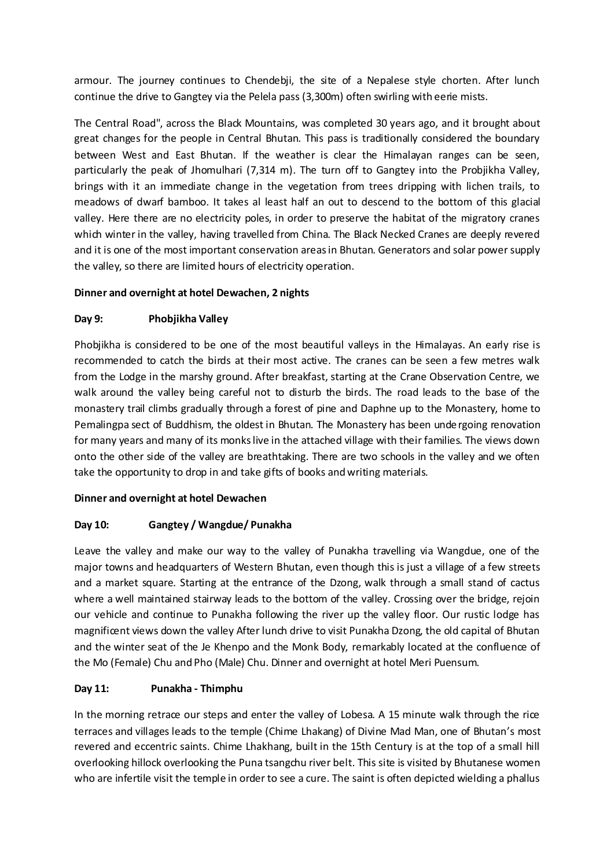armour. The journey continues to Chendebji, the site of a Nepalese style chorten. After lunch continue the drive to Gangtey via the Pelela pass (3,300m) often swirling with eerie mists.

The Central Road", across the Black Mountains, was completed 30 years ago, and it brought about great changes for the people in Central Bhutan. This pass is traditionally considered the boundary between West and East Bhutan. If the weather is clear the Himalayan ranges can be seen, particularly the peak of Jhomulhari (7,314 m). The turn off to Gangtey into the Probjikha Valley, brings with it an immediate change in the vegetation from trees dripping with lichen trails, to meadows of dwarf bamboo. It takes al least half an out to descend to the bottom of this glacial valley. Here there are no electricity poles, in order to preserve the habitat of the migratory cranes which winter in the valley, having travelled from China. The Black Necked Cranes are deeply revered and it is one of the most important conservation areas in Bhutan. Generators and solar power supply the valley, so there are limited hours of electricity operation.

### **Dinner and overnight at hotel Dewachen, 2 nights**

### **Day 9: Phobjikha Valley**

Phobiikha is considered to be one of the most beautiful valleys in the Himalayas. An early rise is recommended to catch the birds at their most active. The cranes can be seen a few metres walk from the Lodge in the marshy ground. After breakfast, starting at the Crane Observation Centre, we walk around the valley being careful not to disturb the birds. The road leads to the base of the monastery trail climbs gradually through a forest of pine and Daphne up to the Monastery, home to Pemalingpa sect of Buddhism, the oldest in Bhutan. The Monastery has been undergoing renovation for many years and many of its monks live in the attached village with their families. The views down onto the other side of the valley are breathtaking. There are two schools in the valley and we often take the opportunity to drop in and take gifts of books and writing materials.

### **Dinner and overnight at hotel Dewachen**

### **Day 10: Gangtey / Wangdue/ Punakha**

Leave the valley and make our way to the valley of Punakha travelling via Wangdue, one of the major towns and headquarters of Western Bhutan, even though this is just a village of a few streets and a market square. Starting at the entrance of the Dzong, walk through a small stand of cactus where a well maintained stairway leads to the bottom of the valley. Crossing over the bridge, rejoin our vehicle and continue to Punakha following the river up the valley floor. Our rustic lodge has magnificent views down the valley After lunch drive to visit Punakha Dzong, the old capital of Bhutan and the winter seat of the Je Khenpo and the Monk Body, remarkably located at the confluence of the Mo (Female) Chu and Pho (Male) Chu. Dinner and overnight at hotel Meri Puensum.

# **Day 11: Punakha - Thimphu**

In the morning retrace our steps and enter the valley of Lobesa. A 15 minute walk through the rice terraces and villages leads to the temple (Chime Lhakang) of Divine Mad Man, one of Bhutan's most revered and eccentric saints. Chime Lhakhang, built in the 15th Century is at the top of a small hill overlooking hillock overlooking the Puna tsangchu river belt. This site is visited by Bhutanese women who are infertile visit the temple in order to see a cure. The saint is often depicted wielding a phallus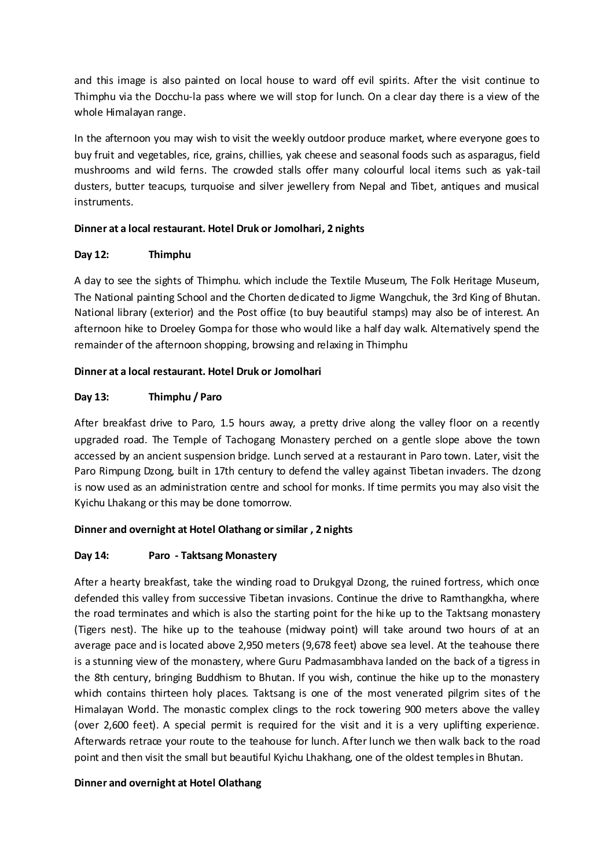and this image is also painted on local house to ward off evil spirits. After the visit continue to Thimphu via the Docchu-la pass where we will stop for lunch. On a clear day there is a view of the whole Himalayan range.

In the afternoon you may wish to visit the weekly outdoor produce market, where everyone goes to buy fruit and vegetables, rice, grains, chillies, yak cheese and seasonal foods such as asparagus, field mushrooms and wild ferns. The crowded stalls offer many colourful local items such as yak-tail dusters, butter teacups, turquoise and silver jewellery from Nepal and Tibet, antiques and musical instruments.

### **Dinner at a local restaurant. Hotel Druk or Jomolhari, 2 nights**

# **Day 12: Thimphu**

A day to see the sights of Thimphu. which include the Textile Museum, The Folk Heritage Museum, The National painting School and the Chorten dedicated to Jigme Wangchuk, the 3rd King of Bhutan. National library (exterior) and the Post office (to buy beautiful stamps) may also be of interest. An afternoon hike to Droeley Gompa for those who would like a half day walk. Alternatively spend the remainder of the afternoon shopping, browsing and relaxing in Thimphu

### **Dinner at a local restaurant. Hotel Druk or Jomolhari**

### **Day 13: Thimphu / Paro**

After breakfast drive to Paro, 1.5 hours away, a pretty drive along the valley floor on a recently upgraded road. The Temple of Tachogang Monastery perched on a gentle slope above the town accessed by an ancient suspension bridge. Lunch served at a restaurant in Paro town. Later, visit the Paro Rimpung Dzong, built in 17th century to defend the valley against Tibetan invaders. The dzong is now used as an administration centre and school for monks. If time permits you may also visit the Kyichu Lhakang or this may be done tomorrow.

# **Dinner and overnight at Hotel Olathang or similar , 2 nights**

### **Day 14: Paro - Taktsang Monastery**

After a hearty breakfast, take the winding road to Drukgyal Dzong, the ruined fortress, which once defended this valley from successive Tibetan invasions. Continue the drive to Ramthangkha, where the road terminates and which is also the starting point for the hike up to the Taktsang monastery (Tigers nest). The hike up to the teahouse (midway point) will take around two hours of at an average pace and is located above 2,950 meters (9,678 feet) above sea level. At the teahouse there is a stunning view of the monastery, where Guru Padmasambhava landed on the back of a tigress in the 8th century, bringing Buddhism to Bhutan. If you wish, continue the hike up to the monastery which contains thirteen holy places. Taktsang is one of the most venerated pilgrim sites of the Himalayan World. The monastic complex clings to the rock towering 900 meters above the valley (over 2,600 feet). A special permit is required for the visit and it is a very uplifting experience. Afterwards retrace your route to the teahouse for lunch. After lunch we then walk back to the road point and then visit the small but beautiful Kyichu Lhakhang, one of the oldest temples in Bhutan.

### **Dinner and overnight at Hotel Olathang**